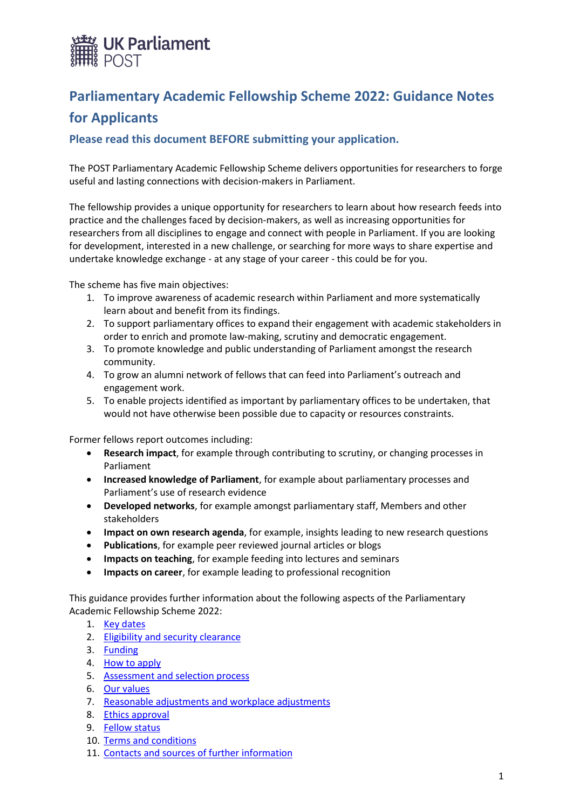

# **Parliamentary Academic Fellowship Scheme 2022: Guidance Notes for Applicants**

## **Please read this document BEFORE submitting your application.**

The POST Parliamentary Academic Fellowship Scheme delivers opportunities for researchers to forge useful and lasting connections with decision-makers in Parliament.

The fellowship provides a unique opportunity for researchers to learn about how research feeds into practice and the challenges faced by decision-makers, as well as increasing opportunities for researchers from all disciplines to engage and connect with people in Parliament. If you are looking for development, interested in a new challenge, or searching for more ways to share expertise and undertake knowledge exchange - at any stage of your career - this could be for you.

The scheme has five main objectives:

- 1. To improve awareness of academic research within Parliament and more systematically learn about and benefit from its findings.
- 2. To support parliamentary offices to expand their engagement with academic stakeholders in order to enrich and promote law-making, scrutiny and democratic engagement.
- 3. To promote knowledge and public understanding of Parliament amongst the research community.
- 4. To grow an alumni network of fellows that can feed into Parliament's outreach and engagement work.
- 5. To enable projects identified as important by parliamentary offices to be undertaken, that would not have otherwise been possible due to capacity or resources constraints.

Former fellows report outcomes including:

- **Research impact**, for example through contributing to scrutiny, or changing processes in Parliament
- **Increased knowledge of Parliament**, for example about parliamentary processes and Parliament's use of research evidence
- **Developed networks**, for example amongst parliamentary staff, Members and other stakeholders
- **Impact on own research agenda**, for example, insights leading to new research questions
- **Publications**, for example peer reviewed journal articles or blogs
- **Impacts on teaching**, for example feeding into lectures and seminars
- **Impacts on career**, for example leading to professional recognition

This guidance provides further information about the following aspects of the Parliamentary Academic Fellowship Scheme 2022:

- 1. [Key dates](#page-1-0)
- 2. [Eligibility and security clearance](#page-1-1)
- 3. [Funding](#page-1-2)
- 4. [How to apply](#page-2-0)
- 5. Assessment [and selection process](#page-3-0)
- 6. [Our values](#page-3-1)
- 7. [Reasonable adjustments and workplace adjustments](#page-4-0)
- 8. [Ethics approval](#page-4-1)
- 9. [Fellow status](#page-4-2)
- 10. [Terms and conditions](#page-4-3)
- 11. [Contacts and sources of further information](#page-6-0)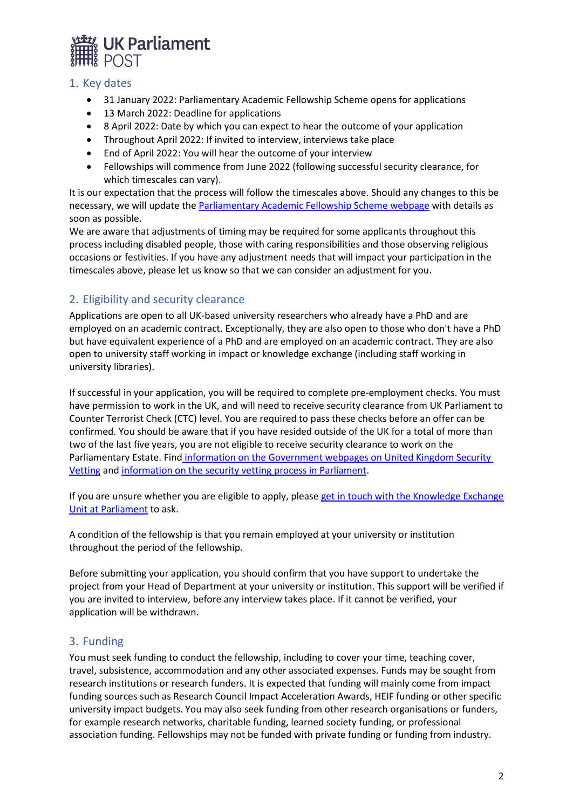

#### <span id="page-1-0"></span>1. Key dates

- 31 January 2022: Parliamentary Academic Fellowship Scheme opens for applications
- 13 March 2022: Deadline for applications
- 8 April 2022: Date by which you can expect to hear the outcome of your application
- Throughout April 2022: If invited to interview, interviews take place
- End of April 2022: You will hear the outcome of your interview
- Fellowships will commence from June 2022 (following successful security clearance, for which timescales can vary).

It is our expectation that the process will follow the timescales above. Should any changes to this be necessary, we will update the [Parliamentary Academic Fellowship Scheme webpage](https://www.parliament.uk/get-involved/research-impact-at-the-uk-parliament/academic-fellowships/posts-parliamentary-academic-fellowship-scheme/) with details as soon as possible.

We are aware that adjustments of timing may be required for some applicants throughout this process including disabled people, those with caring responsibilities and those observing religious occasions or festivities. If you have any adjustment needs that will impact your participation in the timescales above, please let us know so that we can consider an adjustment for you.

# <span id="page-1-1"></span>2. Eligibility and security clearance

Applications are open to all UK-based university researchers who already have a PhD and are employed on an academic contract. Exceptionally, they are also open to those who don't have a PhD but have equivalent experience of a PhD and are employed on an academic contract. They are also open to university staff working in impact or knowledge exchange (including staff working in university libraries).

If successful in your application, you will be required to complete pre-employment checks. You must have permission to work in the UK, and will need to receive security clearance from UK Parliament to Counter Terrorist Check (CTC) level. You are required to pass these checks before an offer can be confirmed. You should be aware that if you have resided outside of the UK for a total of more than two of the last five years, you are not eligible to receive security clearance to work on the Parliamentary Estate. Find [information on the Government webpages on United Kingdom Security](https://www.gov.uk/government/organisations/united-kingdom-security-vetting)  [Vetting](https://www.gov.uk/government/organisations/united-kingdom-security-vetting) and information on the [security vetting process in Parliament.](https://www.parliament.uk/documents/PSD-Security-Vetting-booklet.pdf)

If you are unsure whether you are eligible to apply, please get in [touch with the Knowledge Exchange](mailto:keu@parliament.uk)  [Unit at Parliament](mailto:keu@parliament.uk) to ask.

A condition of the fellowship is that you remain employed at your university or institution throughout the period of the fellowship.

Before submitting your application, you should confirm that you have support to undertake the project from your Head of Department at your university or institution. This support will be verified if you are invited to interview, before any interview takes place. If it cannot be verified, your application will be withdrawn.

# <span id="page-1-2"></span>3. Funding

You must seek funding to conduct the fellowship, including to cover your time, teaching cover, travel, subsistence, accommodation and any other associated expenses. Funds may be sought from research institutions or research funders. It is expected that funding will mainly come from impact funding sources such as Research Council Impact Acceleration Awards, HEIF funding or other specific university impact budgets. You may also seek funding from other research organisations or funders, for example research networks, charitable funding, learned society funding, or professional association funding. Fellowships may not be funded with private funding or funding from industry.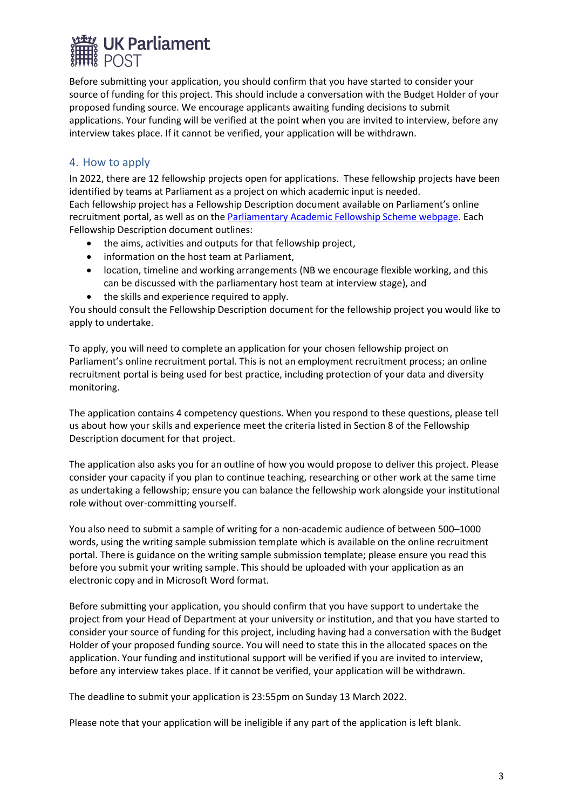

Before submitting your application, you should confirm that you have started to consider your source of funding for this project. This should include a conversation with the Budget Holder of your proposed funding source. We encourage applicants awaiting funding decisions to submit applications. Your funding will be verified at the point when you are invited to interview, before any interview takes place. If it cannot be verified, your application will be withdrawn.

## <span id="page-2-0"></span>4. How to apply

In 2022, there are 12 fellowship projects open for applications. These fellowship projects have been identified by teams at Parliament as a project on which academic input is needed. Each fellowship project has a Fellowship Description document available on Parliament's online recruitment portal, as well as on th[e Parliamentary Academic Fellowship Scheme webpage.](https://www.parliament.uk/get-involved/research-impact-at-the-uk-parliament/academic-fellowships/posts-parliamentary-academic-fellowship-scheme/) Each Fellowship Description document outlines:

- the aims, activities and outputs for that fellowship project,
- information on the host team at Parliament,
- location, timeline and working arrangements (NB we encourage flexible working, and this can be discussed with the parliamentary host team at interview stage), and
- the skills and experience required to apply.

You should consult the Fellowship Description document for the fellowship project you would like to apply to undertake.

To apply, you will need to complete an application for your chosen fellowship project on Parliament's online recruitment portal. This is not an employment recruitment process; an online recruitment portal is being used for best practice, including protection of your data and diversity monitoring.

The application contains 4 competency questions. When you respond to these questions, please tell us about how your skills and experience meet the criteria listed in Section 8 of the Fellowship Description document for that project.

The application also asks you for an outline of how you would propose to deliver this project. Please consider your capacity if you plan to continue teaching, researching or other work at the same time as undertaking a fellowship; ensure you can balance the fellowship work alongside your institutional role without over-committing yourself.

You also need to submit a sample of writing for a non-academic audience of between 500–1000 words, using the writing sample submission template which is available on the online recruitment portal. There is guidance on the writing sample submission template; please ensure you read this before you submit your writing sample. This should be uploaded with your application as an electronic copy and in Microsoft Word format.

Before submitting your application, you should confirm that you have support to undertake the project from your Head of Department at your university or institution, and that you have started to consider your source of funding for this project, including having had a conversation with the Budget Holder of your proposed funding source. You will need to state this in the allocated spaces on the application. Your funding and institutional support will be verified if you are invited to interview, before any interview takes place. If it cannot be verified, your application will be withdrawn.

The deadline to submit your application is 23:55pm on Sunday 13 March 2022.

Please note that your application will be ineligible if any part of the application is left blank.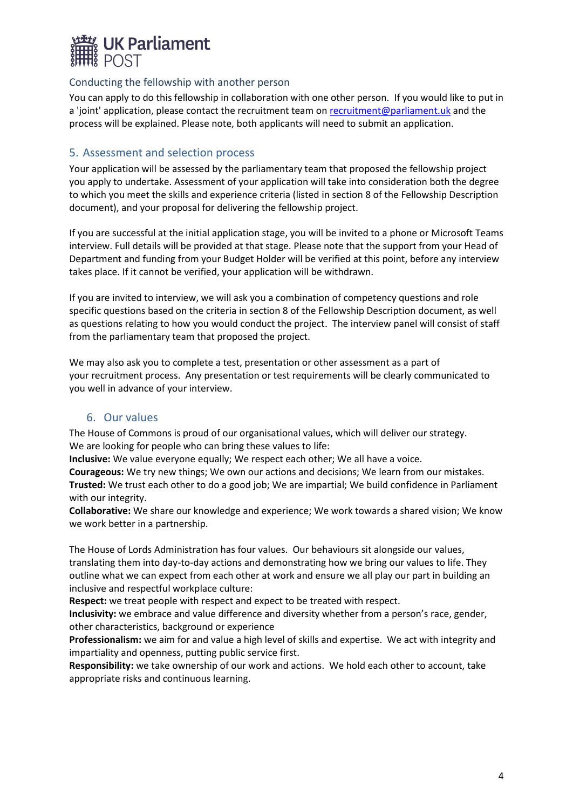

#### Conducting the fellowship with another person

You can apply to do this fellowship in collaboration with one other person. If you would like to put in a 'joint' application, please contact the recruitment team on [recruitment@parliament.uk](mailto:recruitment@parliament.uk) and the process will be explained. Please note, both applicants will need to submit an application.

## <span id="page-3-0"></span>5. Assessment and selection process

Your application will be assessed by the parliamentary team that proposed the fellowship project you apply to undertake. Assessment of your application will take into consideration both the degree to which you meet the skills and experience criteria (listed in section 8 of the Fellowship Description document), and your proposal for delivering the fellowship project.

If you are successful at the initial application stage, you will be invited to a phone or Microsoft Teams interview. Full details will be provided at that stage. Please note that the support from your Head of Department and funding from your Budget Holder will be verified at this point, before any interview takes place. If it cannot be verified, your application will be withdrawn.

If you are invited to interview, we will ask you a combination of competency questions and role specific questions based on the criteria in section 8 of the Fellowship Description document, as well as questions relating to how you would conduct the project. The interview panel will consist of staff from the parliamentary team that proposed the project.

We may also ask you to complete a test, presentation or other assessment as a part of your recruitment process. Any presentation or test requirements will be clearly communicated to you well in advance of your interview.

## 6. Our values

<span id="page-3-1"></span>The House of Commons is proud of our organisational values, which will deliver our strategy. We are looking for people who can bring these values to life:

**Inclusive:** We value everyone equally; We respect each other; We all have a voice.

**Courageous:** We try new things; We own our actions and decisions; We learn from our mistakes. **Trusted:** We trust each other to do a good job; We are impartial; We build confidence in Parliament with our integrity.

**Collaborative:** We share our knowledge and experience; We work towards a shared vision; We know we work better in a partnership.

The House of Lords Administration has four values. Our behaviours sit alongside our values, translating them into day-to-day actions and demonstrating how we bring our values to life. They outline what we can expect from each other at work and ensure we all play our part in building an inclusive and respectful workplace culture:

**Respect:** we treat people with respect and expect to be treated with respect.

**Inclusivity:** we embrace and value difference and diversity whether from a person's race, gender, other characteristics, background or experience

**Professionalism:** we aim for and value a high level of skills and expertise. We act with integrity and impartiality and openness, putting public service first.

**Responsibility:** we take ownership of our work and actions. We hold each other to account, take appropriate risks and continuous learning.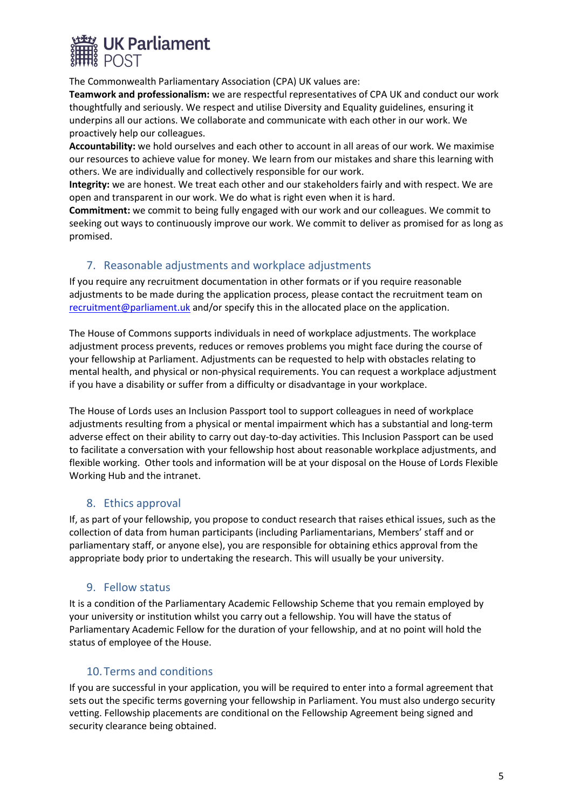

The Commonwealth Parliamentary Association (CPA) UK values are:

**Teamwork and professionalism:** we are respectful representatives of CPA UK and conduct our work thoughtfully and seriously. We respect and utilise Diversity and Equality guidelines, ensuring it underpins all our actions. We collaborate and communicate with each other in our work. We proactively help our colleagues.

**Accountability:** we hold ourselves and each other to account in all areas of our work. We maximise our resources to achieve value for money. We learn from our mistakes and share this learning with others. We are individually and collectively responsible for our work.

**Integrity:** we are honest. We treat each other and our stakeholders fairly and with respect. We are open and transparent in our work. We do what is right even when it is hard.

**Commitment:** we commit to being fully engaged with our work and our colleagues. We commit to seeking out ways to continuously improve our work. We commit to deliver as promised for as long as promised.

# <span id="page-4-0"></span>7. Reasonable adjustments and workplace adjustments

If you require any recruitment documentation in other formats or if you require reasonable adjustments to be made during the application process, please contact the recruitment team on [recruitment@parliament.uk](mailto:recruitment@parliament.uk) and/or specify this in the allocated place on the application.

The House of Commons supports individuals in need of workplace adjustments. The workplace adjustment process prevents, reduces or removes problems you might face during the course of your fellowship at Parliament. Adjustments can be requested to help with obstacles relating to mental health, and physical or non-physical requirements. You can request a workplace adjustment if you have a disability or suffer from a difficulty or disadvantage in your workplace.

The House of Lords uses an Inclusion Passport tool to support colleagues in need of workplace adjustments resulting from a physical or mental impairment which has a substantial and long-term adverse effect on their ability to carry out day-to-day activities. This Inclusion Passport can be used to facilitate a conversation with your fellowship host about reasonable workplace adjustments, and flexible working. Other tools and information will be at your disposal on the House of Lords Flexible Working Hub and the intranet.

## 8. Ethics approval

<span id="page-4-1"></span>If, as part of your fellowship, you propose to conduct research that raises ethical issues, such as the collection of data from human participants (including Parliamentarians, Members' staff and or parliamentary staff, or anyone else), you are responsible for obtaining ethics approval from the appropriate body prior to undertaking the research. This will usually be your university.

## <span id="page-4-2"></span>9. Fellow status

It is a condition of the Parliamentary Academic Fellowship Scheme that you remain employed by your university or institution whilst you carry out a fellowship. You will have the status of Parliamentary Academic Fellow for the duration of your fellowship, and at no point will hold the status of employee of the House.

## <span id="page-4-3"></span>10.Terms and conditions

If you are successful in your application, you will be required to enter into a formal agreement that sets out the specific terms governing your fellowship in Parliament. You must also undergo security vetting. Fellowship placements are conditional on the Fellowship Agreement being signed and security clearance being obtained.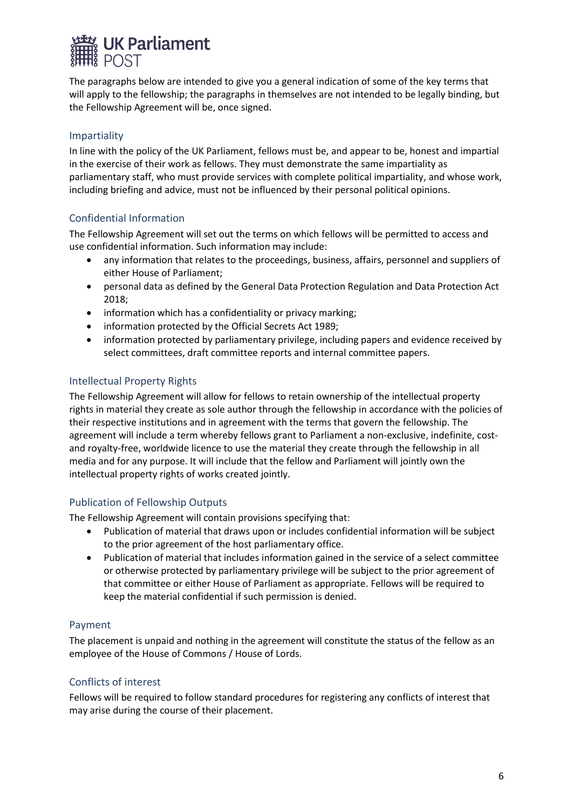

The paragraphs below are intended to give you a general indication of some of the key terms that will apply to the fellowship; the paragraphs in themselves are not intended to be legally binding, but the Fellowship Agreement will be, once signed.

#### Impartiality

In line with the policy of the UK Parliament, fellows must be, and appear to be, honest and impartial in the exercise of their work as fellows. They must demonstrate the same impartiality as parliamentary staff, who must provide services with complete political impartiality, and whose work, including briefing and advice, must not be influenced by their personal political opinions.

#### Confidential Information

The Fellowship Agreement will set out the terms on which fellows will be permitted to access and use confidential information. Such information may include:

- any information that relates to the proceedings, business, affairs, personnel and suppliers of either House of Parliament;
- personal data as defined by the General Data Protection Regulation and Data Protection Act 2018;
- information which has a confidentiality or privacy marking;
- information protected by the Official Secrets Act 1989;
- information protected by parliamentary privilege, including papers and evidence received by select committees, draft committee reports and internal committee papers.

#### Intellectual Property Rights

The Fellowship Agreement will allow for fellows to retain ownership of the intellectual property rights in material they create as sole author through the fellowship in accordance with the policies of their respective institutions and in agreement with the terms that govern the fellowship. The agreement will include a term whereby fellows grant to Parliament a non-exclusive, indefinite, costand royalty-free, worldwide licence to use the material they create through the fellowship in all media and for any purpose. It will include that the fellow and Parliament will jointly own the intellectual property rights of works created jointly.

#### Publication of Fellowship Outputs

The Fellowship Agreement will contain provisions specifying that:

- Publication of material that draws upon or includes confidential information will be subject to the prior agreement of the host parliamentary office.
- Publication of material that includes information gained in the service of a select committee or otherwise protected by parliamentary privilege will be subject to the prior agreement of that committee or either House of Parliament as appropriate. Fellows will be required to keep the material confidential if such permission is denied.

#### Payment

The placement is unpaid and nothing in the agreement will constitute the status of the fellow as an employee of the House of Commons / House of Lords.

## Conflicts of interest

Fellows will be required to follow standard procedures for registering any conflicts of interest that may arise during the course of their placement.